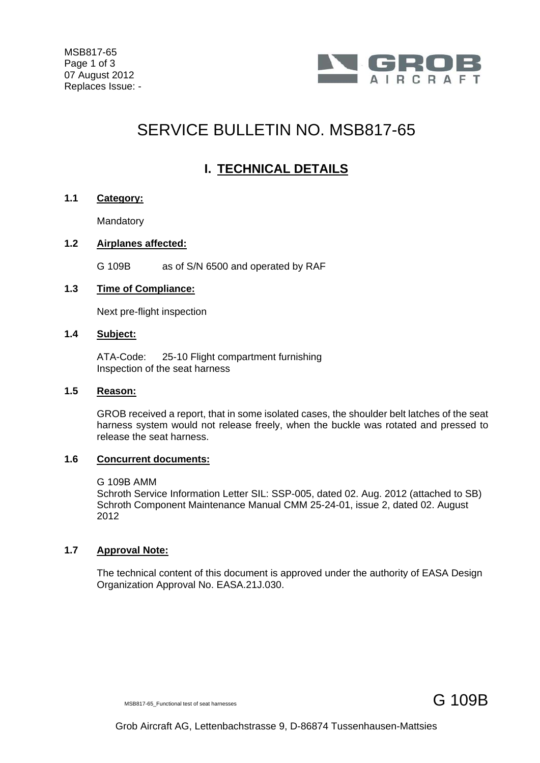

# SERVICE BULLETIN NO. MSB817-65

# **I. TECHNICAL DETAILS**

#### **1.1 Category:**

**Mandatory** 

# **1.2 Airplanes affected:**

G 109B as of S/N 6500 and operated by RAF

# **1.3 Time of Compliance:**

Next pre-flight inspection

# **1.4 Subject:**

ATA-Code: 25-10 Flight compartment furnishing Inspection of the seat harness

#### **1.5 Reason:**

GROB received a report, that in some isolated cases, the shoulder belt latches of the seat harness system would not release freely, when the buckle was rotated and pressed to release the seat harness.

#### **1.6 Concurrent documents:**

#### G 109B AMM

Schroth Service Information Letter SIL: SSP-005, dated 02. Aug. 2012 (attached to SB) Schroth Component Maintenance Manual CMM 25-24-01, issue 2, dated 02. August 2012

# **1.7 Approval Note:**

The technical content of this document is approved under the authority of EASA Design Organization Approval No. EASA.21J.030.

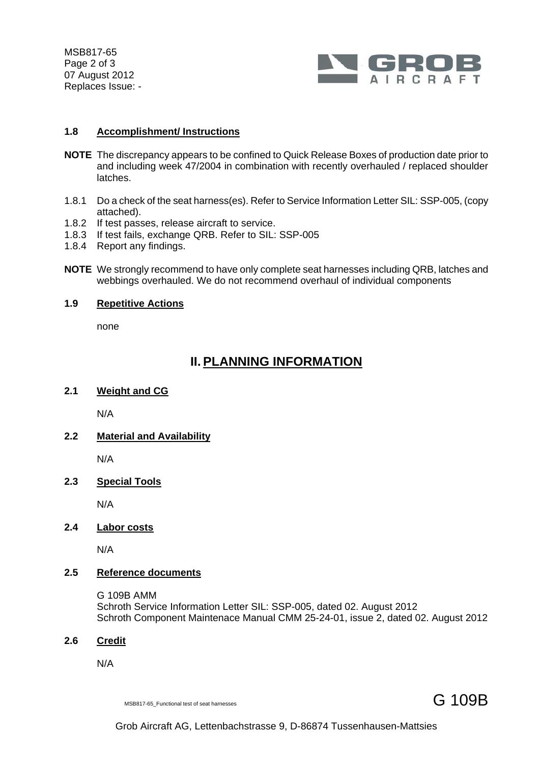MSB817-65 Page 2 of 3 07 August 2012 Replaces Issue: -



#### **1.8 Accomplishment/ Instructions**

- **NOTE** The discrepancy appears to be confined to Quick Release Boxes of production date prior to and including week 47/2004 in combination with recently overhauled / replaced shoulder latches.
- 1.8.1 Do a check of the seat harness(es). Refer to Service Information Letter SIL: SSP-005, (copy attached).
- 1.8.2 If test passes, release aircraft to service.
- 1.8.3 If test fails, exchange QRB. Refer to SIL: SSP-005
- 1.8.4 Report any findings.
- **NOTE** We strongly recommend to have only complete seat harnesses including QRB, latches and webbings overhauled. We do not recommend overhaul of individual components

# **1.9 Repetitive Actions**

none

# **II. PLANNING INFORMATION**

#### **2.1 Weight and CG**

N/A

# **2.2 Material and Availability**

N/A

# **2.3 Special Tools**

N/A

**2.4 Labor costs**

N/A

# **2.5 Reference documents**

 G 109B AMM Schroth Service Information Letter SIL: SSP-005, dated 02. August 2012 Schroth Component Maintenace Manual CMM 25-24-01, issue 2, dated 02. August 2012

#### **2.6 Credit**

N/A

MSB817-65 Functional test of seat harnesses  $\mathsf G$  109B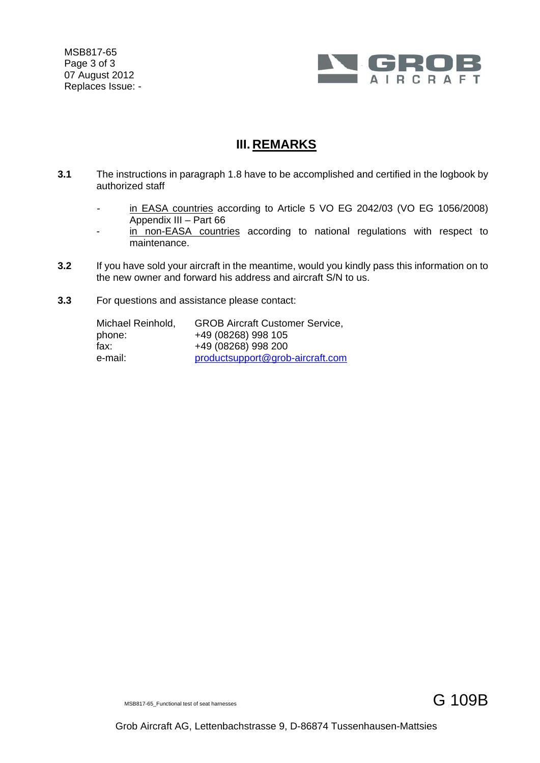MSB817-65 Page 3 of 3 07 August 2012 Replaces Issue: -



# **III. REMARKS**

- **3.1** The instructions in paragraph 1.8 have to be accomplished and certified in the logbook by authorized staff
	- in EASA countries according to Article 5 VO EG 2042/03 (VO EG 1056/2008) Appendix III – Part 66
	- in non-EASA countries according to national regulations with respect to maintenance.
- **3.2** If you have sold your aircraft in the meantime, would you kindly pass this information on to the new owner and forward his address and aircraft S/N to us.
- **3.3** For questions and assistance please contact:

| Michael Reinhold, | <b>GROB Aircraft Customer Service,</b> |
|-------------------|----------------------------------------|
| phone:            | +49 (08268) 998 105                    |
| fax:              | +49 (08268) 998 200                    |
| e-mail:           | productsupport@grob-aircraft.com       |

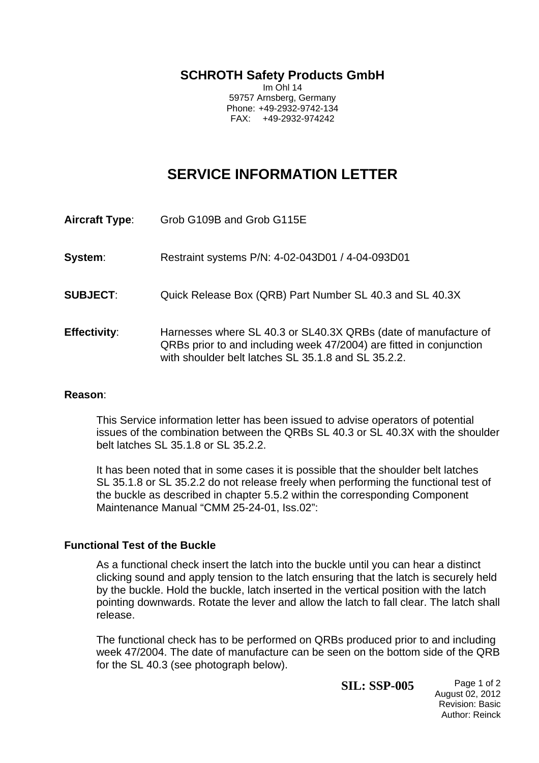**SCHROTH Safety Products GmbH**

Im Ohl 14 59757 Arnsberg, Germany Phone: +49-2932-9742-134 FAX: +49-2932-974242

# **SERVICE INFORMATION LETTER**

- **Aircraft Type**: Grob G109B and Grob G115E
- **System**: Restraint systems P/N: 4-02-043D01 / 4-04-093D01
- **SUBJECT:** Quick Release Box (QRB) Part Number SL 40.3 and SL 40.3X
- **Effectivity**: Harnesses where SL 40.3 or SL40.3X QRBs (date of manufacture of QRBs prior to and including week 47/2004) are fitted in conjunction with shoulder belt latches SL 35.1.8 and SL 35.2.2.

# **Reason**:

This Service information letter has been issued to advise operators of potential issues of the combination between the QRBs SL 40.3 or SL 40.3X with the shoulder belt latches SL 35.1.8 or SL 35.2.2.

 It has been noted that in some cases it is possible that the shoulder belt latches SL 35.1.8 or SL 35.2.2 do not release freely when performing the functional test of the buckle as described in chapter 5.5.2 within the corresponding Component Maintenance Manual "CMM 25-24-01, Iss.02":

# **Functional Test of the Buckle**

As a functional check insert the latch into the buckle until you can hear a distinct clicking sound and apply tension to the latch ensuring that the latch is securely held by the buckle. Hold the buckle, latch inserted in the vertical position with the latch pointing downwards. Rotate the lever and allow the latch to fall clear. The latch shall release.

The functional check has to be performed on QRBs produced prior to and including week 47/2004. The date of manufacture can be seen on the bottom side of the QRB for the SL 40.3 (see photograph below).

**SIL: SSP-005** Page 1 of 2

August 02, 2012 Revision: Basic Author: Reinck